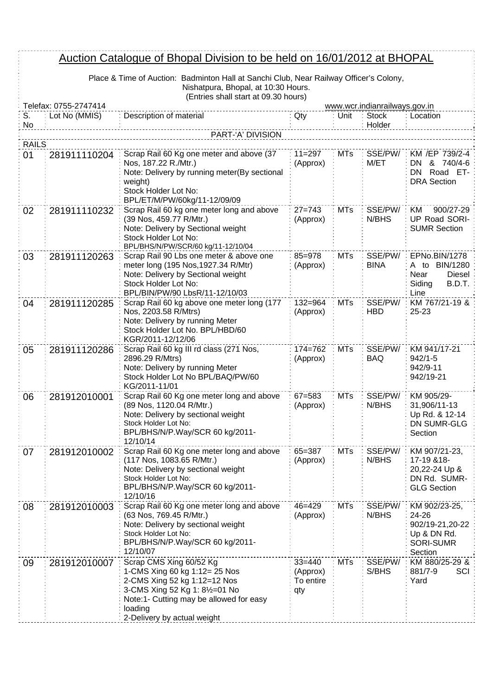## Auction Catalogue of Bhopal Division to be held on 16/01/2012 at BHOPAL

Place & Time of Auction: Badminton Hall at Sanchi Club, Near Railway Officer's Colony, Nishatpura, Bhopal, at 10:30 Hours.

|              | (Entries shall start at 09.30 hours)<br>Telefax: 0755-2747414<br>www.wcr.indianrailways.gov.in |                                                                                                                                                                                                                 |                                            |            |                        |                                                                                     |  |
|--------------|------------------------------------------------------------------------------------------------|-----------------------------------------------------------------------------------------------------------------------------------------------------------------------------------------------------------------|--------------------------------------------|------------|------------------------|-------------------------------------------------------------------------------------|--|
| S.           | Lot No (MMIS)                                                                                  | Description of material                                                                                                                                                                                         | Qty                                        | Unit       | <b>Stock</b>           | Location                                                                            |  |
| No           |                                                                                                |                                                                                                                                                                                                                 |                                            |            | Holder                 |                                                                                     |  |
|              | PART-'A' DIVISION                                                                              |                                                                                                                                                                                                                 |                                            |            |                        |                                                                                     |  |
| <b>RAILS</b> |                                                                                                |                                                                                                                                                                                                                 |                                            |            |                        |                                                                                     |  |
| 01           | 281911110204                                                                                   | Scrap Rail 60 Kg one meter and above (37<br>Nos, 187.22 R./Mtr.)<br>Note: Delivery by running meter(By sectional<br>weight)<br>Stock Holder Lot No:<br>BPL/ET/M/PW/60kg/11-12/09/09                             | $11 = 297$<br>(Approx)                     | <b>MTs</b> | SSE/PW/<br>M/ET        | KM /EP 739/2-4<br>& 740/4-6<br>DN<br>Road ET-<br>DN -<br><b>DRA Section</b>         |  |
| 02           | 281911110232                                                                                   | Scrap Rail 60 kg one meter long and above<br>(39 Nos, 459.77 R/Mtr.)<br>Note: Delivery by Sectional weight<br>Stock Holder Lot No:<br>BPL/BHS/N/PW/SCR/60 kg/11-12/10/04                                        | $27 = 743$<br>(Approx)                     | <b>MTs</b> | SSE/PW/<br>N/BHS       | 900/27-29<br>KM<br><b>UP Road SORI-</b><br><b>SUMR Section</b>                      |  |
| 03           | 281911120263                                                                                   | Scrap Rail 90 Lbs one meter & above one<br>meter long (195 Nos, 1927.34 R/Mtr)<br>Note: Delivery by Sectional weight<br>Stock Holder Lot No:<br>BPL/BIN/PW/90 LbsR/11-12/10/03                                  | $85 = 978$<br>(Approx)                     | <b>MTs</b> | SSE/PW/<br><b>BINA</b> | EPNo.BIN/1278<br>A to BIN/1280<br>Near<br>Diesel<br>Siding<br>B.D.T.<br>Line        |  |
| 04           | 281911120285                                                                                   | Scrap Rail 60 kg above one meter long (177<br>Nos, 2203.58 R/Mtrs)<br>Note: Delivery by running Meter<br>Stock Holder Lot No. BPL/HBD/60<br>KGR/2011-12/12/06                                                   | $132 = 964$<br>(Approx)                    | <b>MTs</b> | SSE/PW/<br><b>HBD</b>  | KM 767/21-19 &<br>25-23                                                             |  |
| 05           | 281911120286                                                                                   | Scrap Rail 60 kg III rd class (271 Nos,<br>2896.29 R/Mtrs)<br>Note: Delivery by running Meter<br>Stock Holder Lot No BPL/BAQ/PW/60<br>KG/2011-11/01                                                             | $174 = 762$<br>(Approx)                    | <b>MTs</b> | SSE/PW/<br><b>BAQ</b>  | KM 941/17-21<br>$942/1 - 5$<br>942/9-11<br>942/19-21                                |  |
| 06           | 281912010001                                                                                   | Scrap Rail 60 Kg one meter long and above<br>(89 Nos, 1120.04 R/Mtr.)<br>Note: Delivery by sectional weight<br>Stock Holder Lot No:<br>BPL/BHS/N/P.Way/SCR 60 kg/2011-<br>12/10/14                              | $67 = 583$<br>(Approx)                     | <b>MTs</b> | SSE/PW/<br>N/BHS       | KM 905/29-<br>31,906/11-13<br>Up Rd. & 12-14<br><b>DN SUMR-GLG</b><br>Section       |  |
| 07           | 281912010002                                                                                   | Scrap Rail 60 Kg one meter long and above<br>(117 Nos, 1083.65 R/Mtr.)<br>Note: Delivery by sectional weight<br>Stock Holder Lot No:<br>BPL/BHS/N/P.Way/SCR 60 kg/2011-<br>12/10/16                             | 65=387<br>(Approx)                         | MTs        | SSE/PW/<br>N/BHS       | KM 907/21-23,<br>17-19 & 18-<br>20,22-24 Up &<br>DN Rd. SUMR-<br><b>GLG Section</b> |  |
| 08           | 281912010003                                                                                   | Scrap Rail 60 Kg one meter long and above<br>(63 Nos, 769.45 R/Mtr.)<br>Note: Delivery by sectional weight<br>Stock Holder Lot No:<br>BPL/BHS/N/P.Way/SCR 60 kg/2011-<br>12/10/07                               | 46=429<br>(Approx)                         | <b>MTs</b> | SSE/PW/<br>N/BHS       | KM 902/23-25,<br>24-26<br>902/19-21,20-22<br>Up & DN Rd.<br>SORI-SUMR<br>Section    |  |
| 09           | 281912010007                                                                                   | Scrap CMS Xing 60/52 Kg<br>1-CMS Xing 60 kg 1:12= 25 Nos<br>2-CMS Xing 52 kg 1:12=12 Nos<br>3-CMS Xing 52 Kg 1: 81/2=01 No<br>Note:1- Cutting may be allowed for easy<br>loading<br>2-Delivery by actual weight | $33 = 440$<br>(Approx)<br>To entire<br>qty | <b>MTs</b> | SSE/PW/<br>S/BHS       | KM 880/25-29 &<br>SCI<br>881/7-9<br>Yard                                            |  |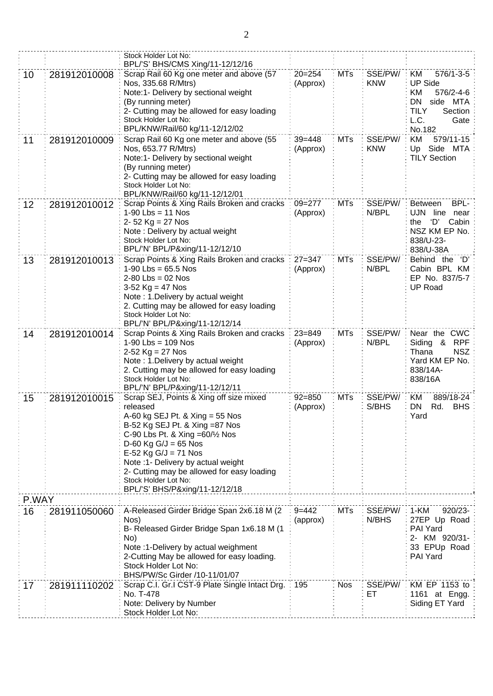|       |              | Stock Holder Lot No:                                                                                                                                                                                                                                                                                                                                           |                        |            |                       |                                                                                                                                         |
|-------|--------------|----------------------------------------------------------------------------------------------------------------------------------------------------------------------------------------------------------------------------------------------------------------------------------------------------------------------------------------------------------------|------------------------|------------|-----------------------|-----------------------------------------------------------------------------------------------------------------------------------------|
| 10    | 281912010008 | BPL/'S' BHS/CMS Xing/11-12/12/16<br>Scrap Rail 60 Kg one meter and above (57<br>Nos, 335.68 R/Mtrs)<br>Note:1- Delivery by sectional weight<br>(By running meter)<br>2- Cutting may be allowed for easy loading<br>Stock Holder Lot No:<br>BPL/KNW/Rail/60 kg/11-12/12/02                                                                                      | $20 = 254$<br>(Approx) | <b>MTs</b> | SSE/PW/<br><b>KNW</b> | $576/1 - 3 - 5$<br><b>KM</b><br><b>UP Side</b><br>KM<br>576/2-4-6<br>DN<br>side MTA<br><b>TILY</b><br>Section<br>L.C.<br>Gate<br>No.182 |
| 11    | 281912010009 | Scrap Rail 60 Kg one meter and above (55<br>Nos, 653.77 R/Mtrs)<br>Note:1- Delivery by sectional weight<br>(By running meter)<br>2- Cutting may be allowed for easy loading<br>Stock Holder Lot No:<br>BPL/KNW/Rail/60 kg/11-12/12/01                                                                                                                          | $39 = 448$<br>(Approx) | <b>MTs</b> | SSE/PW/<br><b>KNW</b> | 579/11-15<br>KM<br>Side MTA<br>Up<br><b>TILY Section</b>                                                                                |
| 12    | 281912010012 | Scrap Points & Xing Rails Broken and cracks<br>$1-90$ Lbs = 11 Nos<br>$2 - 52$ Kg = 27 Nos<br>Note: Delivery by actual weight<br>Stock Holder Lot No:<br>BPL/'N' BPL/P&xing/11-12/12/10                                                                                                                                                                        | $09 = 277$<br>(Approx) | <b>MTs</b> | SSE/PW/<br>N/BPL      | BPL-<br><b>Between</b><br>line near<br>UJN<br>ʻD'<br>Cabin<br>the<br>NSZ KM EP No.<br>838/U-23-<br>838/U-38A                            |
| 13    | 281912010013 | Scrap Points & Xing Rails Broken and cracks<br>$1-90$ Lbs = 65.5 Nos<br>$2-80$ Lbs = 02 Nos<br>3-52 $Kg = 47$ Nos<br>Note: 1. Delivery by actual weight<br>2. Cutting may be allowed for easy loading<br>Stock Holder Lot No:<br>BPL/'N' BPL/P&xing/11-12/12/14                                                                                                | $27 = 347$<br>(Approx) | <b>MTs</b> | SSE/PW/<br>N/BPL      | Behind the 'D'<br>Cabin BPL KM<br>EP No. 837/5-7<br><b>UP Road</b>                                                                      |
| 14    | 281912010014 | Scrap Points & Xing Rails Broken and cracks<br>$1-90$ Lbs = 109 Nos<br>2-52 $Kg = 27$ Nos<br>Note: 1. Delivery by actual weight<br>2. Cutting may be allowed for easy loading<br>Stock Holder Lot No:<br>BPL/'N' BPL/P&xing/11-12/12/11                                                                                                                        | $23 = 849$<br>(Approx) | <b>MTs</b> | SSE/PW/<br>N/BPL      | Near the CWC<br>&<br><b>RPF</b><br>Siding<br><b>NSZ</b><br>Thana<br>Yard KM EP No.<br>838/14A-<br>838/16A                               |
| 15    | 281912010015 | Scrap SEJ, Points & Xing off size mixed<br>released<br>A-60 kg SEJ Pt. & Xing = 55 Nos<br>B-52 Kg SEJ Pt. & Xing =87 Nos<br>C-90 Lbs Pt. & Xing = 60/1/2 Nos<br>$D-60$ Kg G/J = 65 Nos<br>$E-52$ Kg G/J = 71 Nos<br>Note :1- Delivery by actual weight<br>2- Cutting may be allowed for easy loading<br>Stock Holder Lot No:<br>BPL/'S' BHS/P&xing/11-12/12/18 | $92 = 850$<br>(Approx) | <b>MTs</b> | SSE/PW/<br>S/BHS      | <b>KM</b><br>889/18-24<br>DN<br><b>BHS</b><br>Rd.<br>Yard                                                                               |
| P.WAY |              |                                                                                                                                                                                                                                                                                                                                                                |                        |            |                       |                                                                                                                                         |
| 16    | 281911050060 | A-Released Girder Bridge Span 2x6.18 M (2)<br>Nos)<br>B- Released Girder Bridge Span 1x6.18 M (1<br>No)<br>Note :1-Delivery by actual weighment<br>2-Cutting May be allowed for easy loading.<br>Stock Holder Lot No:<br>BHS/PW/Sc Girder /10-11/01/07                                                                                                         | $9 = 442$<br>(approx)  | MTs        | SSE/PW/<br>N/BHS      | 1-KM<br>$920/23 -$<br>27EP Up Road<br>PAI Yard<br>2- KM 920/31-<br>33 EPUp Road<br>PAI Yard                                             |
| 17    | 281911110202 | Scrap C.I. Gr.I CST-9 Plate Single Intact Drg.<br>No. T-478<br>Note: Delivery by Number<br>Stock Holder Lot No:                                                                                                                                                                                                                                                | 195                    | <b>Nos</b> | SSE/PW/<br>ЕT         | KM EP 1153 to<br>1161 at Engg.<br>Siding ET Yard                                                                                        |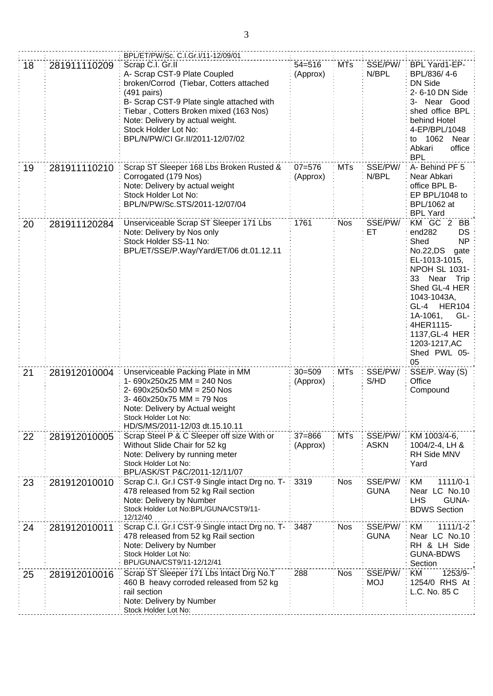|    |              | BPL/ET/PW/Sc. C.I.Gr.I/11-12/09/01                                                                                                                                                                                                                                                                         |                        |            |                        |                                                                                                                                                                                                                                                                                    |
|----|--------------|------------------------------------------------------------------------------------------------------------------------------------------------------------------------------------------------------------------------------------------------------------------------------------------------------------|------------------------|------------|------------------------|------------------------------------------------------------------------------------------------------------------------------------------------------------------------------------------------------------------------------------------------------------------------------------|
| 18 | 281911110209 | Scrap C.I. Gr.II<br>A- Scrap CST-9 Plate Coupled<br>broken/Corrod (Tiebar, Cotters attached<br>$(491 \text{ pairs})$<br>B- Scrap CST-9 Plate single attached with<br>Tiebar, Cotters Broken mixed (163 Nos)<br>Note: Delivery by actual weight.<br>Stock Holder Lot No:<br>BPL/N/PW/CI Gr.II/2011-12/07/02 | $54 = 516$<br>(Approx) | <b>MTs</b> | SSE/PW/<br>N/BPL       | BPL Yard1-EP-<br>BPL/836/4-6<br><b>DN Side</b><br>2-6-10 DN Side<br>3- Near Good<br>shed office BPL<br>behind Hotel<br>4-EP/BPL/1048<br>1062<br>Near<br>to<br>office<br>Abkari<br><b>BPL</b>                                                                                       |
| 19 | 281911110210 | Scrap ST Sleeper 168 Lbs Broken Rusted &<br>Corrogated (179 Nos)<br>Note: Delivery by actual weight<br>Stock Holder Lot No:<br>BPL/N/PW/Sc.STS/2011-12/07/04                                                                                                                                               | $07 = 576$<br>(Approx) | <b>MTs</b> | SSE/PW/<br>N/BPL       | A-Behind PF 5<br>Near Abkari<br>office BPL B-<br>EP BPL/1048 to<br>BPL/1062 at<br><b>BPL Yard</b>                                                                                                                                                                                  |
| 20 | 281911120284 | Unserviceable Scrap ST Sleeper 171 Lbs<br>Note: Delivery by Nos only<br>Stock Holder SS-11 No:<br>BPL/ET/SSE/P.Way/Yard/ET/06 dt.01.12.11                                                                                                                                                                  | 1761                   | <b>Nos</b> | SSE/PW/<br>ET          | KM GC 2<br>BB.<br>end282<br><b>DS</b><br>Shed<br>NP<br>No.22,DS<br>gate<br>EL-1013-1015,<br><b>NPOH SL 1031-</b><br>33 Near Trip<br>Shed GL-4 HER<br>1043-1043A,<br><b>HER104</b><br>GL-4<br>1A-1061,<br>GL-<br>4HER1115-<br>1137, GL-4 HER<br>1203-1217, AC<br>Shed PWL 05-<br>05 |
| 21 | 281912010004 | Unserviceable Packing Plate in MM<br>1- $690x250x25$ MM = 240 Nos<br>2- 690x250x50 MM = 250 Nos<br>3-460x250x75 MM = 79 Nos<br>Note: Delivery by Actual weight<br>Stock Holder Lot No:<br>HD/S/MS/2011-12/03 dt.15.10.11                                                                                   | $30 = 509$<br>(Approx) | <b>MTs</b> | SSE/PW/<br>S/HD        | SSE/P. Way (S)<br>Office<br>Compound                                                                                                                                                                                                                                               |
| 22 | 281912010005 | Scrap Steel P & C Sleeper off size With or<br>Without Slide Chair for 52 kg<br>Note: Delivery by running meter<br>Stock Holder Lot No:<br>BPL/ASK/ST P&C/2011-12/11/07                                                                                                                                     | $37 = 866$<br>(Approx) | <b>MTs</b> | SSE/PW/<br><b>ASKN</b> | KM 1003/4-6,<br>1004/2-4, LH &<br>RH Side MNV<br>Yard                                                                                                                                                                                                                              |
| 23 | 281912010010 | Scrap C.I. Gr.I CST-9 Single intact Drg no. T-<br>478 released from 52 kg Rail section<br>Note: Delivery by Number<br>Stock Holder Lot No:BPL/GUNA/CST9/11-<br>12/12/40                                                                                                                                    | : 3319                 | <b>Nos</b> | SSE/PW/<br><b>GUNA</b> | KM<br>$1111/0-1$<br>Near LC No.10<br><b>LHS</b><br>GUNA-<br><b>BDWS Section</b>                                                                                                                                                                                                    |
| 24 | 281912010011 | Scrap C.I. Gr.I CST-9 Single intact Drg no. T-<br>478 released from 52 kg Rail section<br>Note: Delivery by Number<br>Stock Holder Lot No:<br>BPL/GUNA/CST9/11-12/12/41                                                                                                                                    | 3487                   | <b>Nos</b> | SSE/PW/<br><b>GUNA</b> | KM<br>$1111/1-2$<br>Near LC No.10<br>RH & LH Side<br><b>GUNA-BDWS</b><br>Section                                                                                                                                                                                                   |
| 25 | 281912010016 | Scrap ST Sleeper 171 Lbs Intact Drg No.T<br>460 B heavy corroded released from 52 kg<br>rail section<br>Note: Delivery by Number<br>Stock Holder Lot No:                                                                                                                                                   | 288                    | <b>Nos</b> | SSE/PW/<br><b>MOJ</b>  | KM<br>1253/9-<br>1254/0 RHS At<br>L.C. No. 85 C                                                                                                                                                                                                                                    |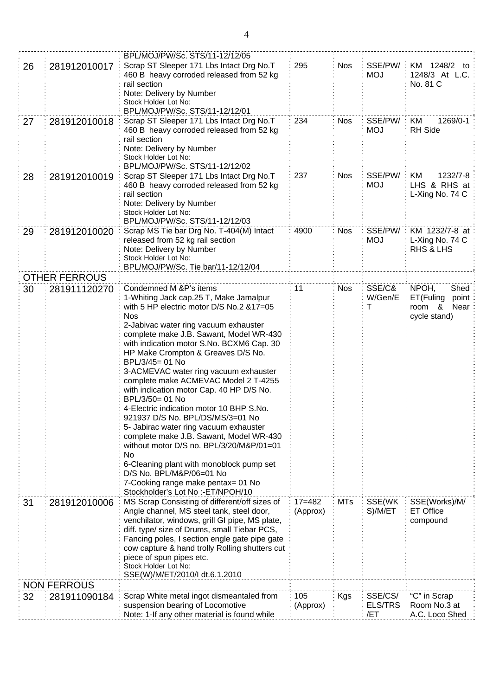|    |                      | BPL/MOJ/PW/Sc. STS/11-12/12/05                 |            |            |                |                      |
|----|----------------------|------------------------------------------------|------------|------------|----------------|----------------------|
|    |                      | Scrap ST Sleeper 171 Lbs Intact Drg No.T       | 295        |            | SSE/PW/        | KM 1248/2 to         |
| 26 | 281912010017         | 460 B heavy corroded released from 52 kg       |            | <b>Nos</b> | <b>MOJ</b>     | 1248/3 At L.C.       |
|    |                      | rail section                                   |            |            |                | No. 81 C             |
|    |                      | Note: Delivery by Number                       |            |            |                |                      |
|    |                      | Stock Holder Lot No:                           |            |            |                |                      |
|    |                      | BPL/MOJ/PW/Sc. STS/11-12/12/01                 |            |            |                |                      |
| 27 | 281912010018         | Scrap ST Sleeper 171 Lbs Intact Drg No.T       | 234        | <b>Nos</b> | SSE/PW/        | KM<br>1269/0-1       |
|    |                      | 460 B heavy corroded released from 52 kg       |            |            | <b>MOJ</b>     | <b>RH</b> Side       |
|    |                      | rail section                                   |            |            |                |                      |
|    |                      | Note: Delivery by Number                       |            |            |                |                      |
|    |                      | Stock Holder Lot No:                           |            |            |                |                      |
|    |                      | BPL/MOJ/PW/Sc. STS/11-12/12/02                 |            |            |                |                      |
| 28 | 281912010019         | Scrap ST Sleeper 171 Lbs Intact Drg No.T       | 237        | <b>Nos</b> | SSE/PW/        | KM<br>1232/7-8       |
|    |                      | 460 B heavy corroded released from 52 kg       |            |            | <b>MOJ</b>     | LHS & RHS at         |
|    |                      | rail section                                   |            |            |                | L-Xing No. 74 C      |
|    |                      | Note: Delivery by Number                       |            |            |                |                      |
|    |                      | Stock Holder Lot No:                           |            |            |                |                      |
|    |                      | BPL/MOJ/PW/Sc. STS/11-12/12/03                 |            |            |                |                      |
| 29 | 281912010020         | Scrap MS Tie bar Drg No. T-404(M) Intact       | 4900       | <b>Nos</b> | SSE/PW/        | KM 1232/7-8 at       |
|    |                      | released from 52 kg rail section               |            |            | <b>MOJ</b>     | L-Xing No. 74 C      |
|    |                      | Note: Delivery by Number                       |            |            |                | <b>RHS &amp; LHS</b> |
|    |                      | Stock Holder Lot No:                           |            |            |                |                      |
|    |                      | BPL/MOJ/PW/Sc. Tie bar/11-12/12/04             |            |            |                |                      |
|    | <b>OTHER FERROUS</b> |                                                |            |            |                |                      |
| 30 | 281911120270         | Condemned M &P's items                         | 11         | <b>Nos</b> | SSE/C&         | NPOH,<br>Shed        |
|    |                      | 1-Whiting Jack cap.25 T, Make Jamalpur         |            |            | W/Gen/E        | ET(Fuling<br>point   |
|    |                      | with 5 HP electric motor D/S No.2 &17=05       |            |            | т              | room $\&$<br>Near    |
|    |                      | <b>Nos</b>                                     |            |            |                | cycle stand)         |
|    |                      | 2-Jabivac water ring vacuum exhauster          |            |            |                |                      |
|    |                      | complete make J.B. Sawant, Model WR-430        |            |            |                |                      |
|    |                      | with indication motor S.No. BCXM6 Cap. 30      |            |            |                |                      |
|    |                      | HP Make Crompton & Greaves D/S No.             |            |            |                |                      |
|    |                      | BPL/3/45= 01 No                                |            |            |                |                      |
|    |                      | 3-ACMEVAC water ring vacuum exhauster          |            |            |                |                      |
|    |                      | complete make ACMEVAC Model 2 T-4255           |            |            |                |                      |
|    |                      | with indication motor Cap. 40 HP D/S No.       |            |            |                |                      |
|    |                      | BPL/3/50= 01 No                                |            |            |                |                      |
|    |                      | 4-Electric indication motor 10 BHP S.No.       |            |            |                |                      |
|    |                      | 921937 D/S No. BPL/DS/MS/3=01 No               |            |            |                |                      |
|    |                      | 5- Jabirac water ring vacuum exhauster         |            |            |                |                      |
|    |                      | complete make J.B. Sawant, Model WR-430        |            |            |                |                      |
|    |                      | without motor D/S no. BPL/3/20/M&P/01=01<br>No |            |            |                |                      |
|    |                      | 6-Cleaning plant with monoblock pump set       |            |            |                |                      |
|    |                      | D/S No. BPL/M&P/06=01 No                       |            |            |                |                      |
|    |                      | 7-Cooking range make pentax= 01 No             |            |            |                |                      |
|    |                      | Stockholder's Lot No :- ET/NPOH/10             |            |            |                |                      |
| 31 | 281912010006         | MS Scrap Consisting of different/off sizes of  | $17 = 482$ | <b>MTs</b> | SSE(WK         | SSE(Works)/M/        |
|    |                      | Angle channel, MS steel tank, steel door,      | (Approx)   |            | S)/M/ET        | <b>ET Office</b>     |
|    |                      | venchilator, windows, grill GI pipe, MS plate, |            |            |                | compound             |
|    |                      | diff. type/ size of Drums, small Tiebar PCS,   |            |            |                |                      |
|    |                      | Fancing poles, I section engle gate pipe gate  |            |            |                |                      |
|    |                      | cow capture & hand trolly Rolling shutters cut |            |            |                |                      |
|    |                      | piece of spun pipes etc.                       |            |            |                |                      |
|    |                      | Stock Holder Lot No:                           |            |            |                |                      |
|    |                      | SSE(W)/M/ET/2010/I dt.6.1.2010                 |            |            |                |                      |
|    | <b>NON FERROUS</b>   |                                                |            |            |                |                      |
| 32 | 281911090184         | Scrap White metal ingot dismeantaled from      | 105        | Kgs        | SSE/CS/        | "C" in Scrap         |
|    |                      | suspension bearing of Locomotive               | (Approx)   |            | <b>ELS/TRS</b> | Room No.3 at         |
|    |                      | Note: 1-If any other material is found while   |            |            | /ET            | A.C. Loco Shed       |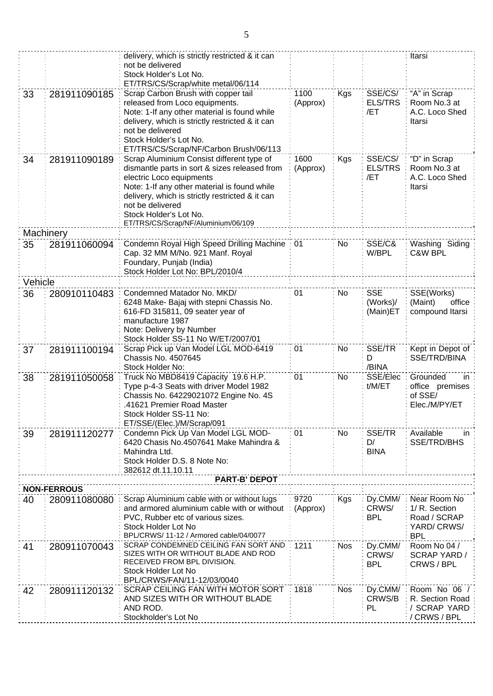|         |                                    | delivery, which is strictly restricted & it can<br>not be delivered       |                 |            |                       | Itarsi                         |
|---------|------------------------------------|---------------------------------------------------------------------------|-----------------|------------|-----------------------|--------------------------------|
|         |                                    | Stock Holder's Lot No.                                                    |                 |            |                       |                                |
| 33      | 281911090185                       | ET/TRS/CS/Scrap/white metal/06/114<br>Scrap Carbon Brush with copper tail | 1100            | Kgs        | SSE/CS/               | "A" in Scrap                   |
|         |                                    | released from Loco equipments.                                            | (Approx)        |            | <b>ELS/TRS</b>        | Room No.3 at                   |
|         |                                    | Note: 1-If any other material is found while                              |                 |            | /ET                   | A.C. Loco Shed                 |
|         |                                    | delivery, which is strictly restricted & it can<br>not be delivered       |                 |            |                       | Itarsi                         |
|         |                                    | Stock Holder's Lot No.                                                    |                 |            |                       |                                |
|         |                                    | ET/TRS/CS/Scrap/NF/Carbon Brush/06/113                                    |                 |            |                       |                                |
| 34      | 281911090189                       | Scrap Aluminium Consist different type of                                 | 1600            | <b>Kgs</b> | SSE/CS/               | "D" in Scrap                   |
|         |                                    | dismantle parts in sort & sizes released from                             | (Approx)        |            | <b>ELS/TRS</b><br>/ET | Room No.3 at<br>A.C. Loco Shed |
|         |                                    | electric Loco equipments<br>Note: 1-If any other material is found while  |                 |            |                       | Itarsi                         |
|         |                                    | delivery, which is strictly restricted & it can                           |                 |            |                       |                                |
|         |                                    | not be delivered                                                          |                 |            |                       |                                |
|         |                                    | Stock Holder's Lot No.<br>ET/TRS/CS/Scrap/NF/Aluminium/06/109             |                 |            |                       |                                |
|         | Machinery                          |                                                                           |                 |            |                       |                                |
| 35      | 281911060094                       | Condemn Royal High Speed Drilling Machine                                 | $\therefore$ 01 | No         | SSE/C&                | Washing Siding                 |
|         |                                    | Cap. 32 MM M/No. 921 Manf. Royal                                          |                 |            | W/BPL                 | C&W BPL                        |
|         |                                    | Foundary, Punjab (India)<br>Stock Holder Lot No: BPL/2010/4               |                 |            |                       |                                |
| Vehicle |                                    |                                                                           |                 |            |                       |                                |
| 36      | 280910110483                       | Condemned Matador No. MKD/                                                | 01              | No         | <b>SSE</b>            | SSE(Works)                     |
|         |                                    | 6248 Make- Bajaj with stepni Chassis No.                                  |                 |            | (Works)/              | (Maint)<br>office              |
|         |                                    | 616-FD 315811, 09 seater year of                                          |                 |            | (Main)ET              | compound Itarsi                |
|         |                                    | manufacture 1987<br>Note: Delivery by Number                              |                 |            |                       |                                |
|         |                                    | Stock Holder SS-11 No W/ET/2007/01                                        |                 |            |                       |                                |
| 37      | 281911100194                       | Scrap Pick up Van Model LGL MOD-6419                                      | 01              | No         | SSE/TR                | Kept in Depot of               |
|         |                                    | Chassis No. 4507645<br>Stock Holder No:                                   |                 |            | D<br>/BINA            | SSE/TRD/BINA                   |
| 38      | 281911050058                       | Truck No MBD8419 Capacity 19.6 H.P.                                       | 01              | No         | SSE/Elec              | Grounded<br>in                 |
|         |                                    | Type p-4-3 Seats with driver Model 1982                                   |                 |            | t/M/ET                | office premises                |
|         |                                    | Chassis No. 64229021072 Engine No. 4S                                     |                 |            |                       | of SSE/                        |
|         |                                    | 41621 Premier Road Master<br>Stock Holder SS-11 No:                       |                 |            |                       | Elec./M/PY/ET                  |
|         |                                    | ET/SSE/(Elec.)/M/Scrap/091                                                |                 |            |                       |                                |
| 39      | 281911120277                       | Condemn Pick Up Van Model LGL MOD-                                        | 01              | No.        | SSE/TR                | Available<br>in                |
|         |                                    | 6420 Chasis No.4507641 Make Mahindra &<br>Mahindra Ltd.                   |                 |            | D/<br><b>BINA</b>     | SSE/TRD/BHS                    |
|         |                                    | Stock Holder D.S. 8 Note No:                                              |                 |            |                       |                                |
|         |                                    | 382612 dt.11.10.11                                                        |                 |            |                       |                                |
|         |                                    | <b>PART-B' DEPOT</b>                                                      |                 |            |                       |                                |
| 40      | <b>NON-FERROUS</b><br>280911080080 | Scrap Aluminium cable with or without lugs                                | 9720            | Kgs        | Dy.CMM/               | Near Room No                   |
|         |                                    | and armored aluminium cable with or without                               | (Approx)        |            | CRWS/                 | 1/ R. Section                  |
|         |                                    | PVC, Rubber etc of various sizes.                                         |                 |            | <b>BPL</b>            | Road / SCRAP                   |
|         |                                    | Stock Holder Lot No<br>BPL/CRWS/ 11-12 / Armored cable/04/0077            |                 |            |                       | YARD/CRWS/<br><b>BPL</b>       |
| 41      | 280911070043                       | SCRAP CONDEMNED CEILING FAN SORT AND                                      | 1211            | <b>Nos</b> | Dy.CMM/               | Room No 04 /                   |
|         |                                    | SIZES WITH OR WITHOUT BLADE AND ROD                                       |                 |            | CRWS/                 | <b>SCRAP YARD/</b>             |
|         |                                    | RECEIVED FROM BPL DIVISION.<br>Stock Holder Lot No                        |                 |            | <b>BPL</b>            | CRWS / BPL                     |
|         |                                    | BPL/CRWS/FAN/11-12/03/0040                                                |                 |            |                       |                                |
| 42      | 280911120132                       | SCRAP CEILING FAN WITH MOTOR SORT                                         | 1818            | <b>Nos</b> | Dy.CMM/               | Room No 06 /                   |
|         |                                    | AND SIZES WITH OR WITHOUT BLADE<br>AND ROD.                               |                 |            | CRWS/B<br>PL          | R. Section Road                |
|         |                                    | Stockholder's Lot No                                                      |                 |            |                       | / SCRAP YARD<br>/ CRWS / BPL   |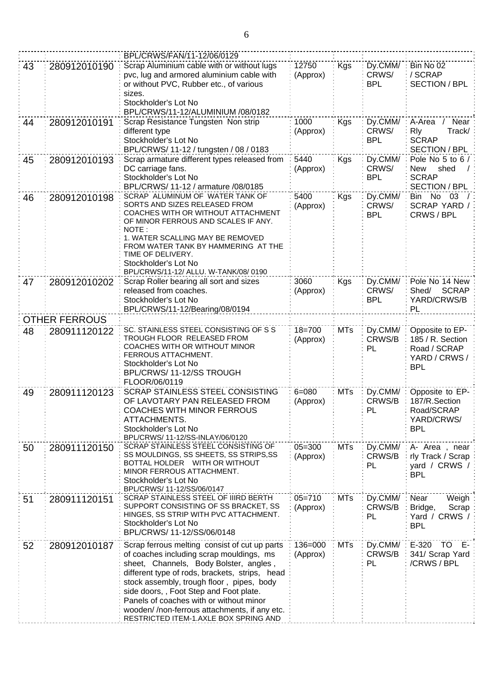|    |                      | BPL/CRWS/FAN/11-12/06/0129                                                                                                                                                                                                                                                                                                                                                                                        |                        |            |                                |                                                                                    |
|----|----------------------|-------------------------------------------------------------------------------------------------------------------------------------------------------------------------------------------------------------------------------------------------------------------------------------------------------------------------------------------------------------------------------------------------------------------|------------------------|------------|--------------------------------|------------------------------------------------------------------------------------|
| 43 | 280912010190         | Scrap Aluminium cable with or without lugs<br>pvc, lug and armored aluminium cable with<br>or without PVC, Rubber etc., of various<br>sizes.<br>Stockholder's Lot No<br>BPL/CRWS/11-12/ALUMINIUM /08/0182                                                                                                                                                                                                         | 12750<br>(Approx)      | Kgs        | Dy.CMM/<br>CRWS/<br><b>BPL</b> | Bin No 02<br>/ SCRAP<br><b>SECTION / BPL</b>                                       |
| 44 | 280912010191         | Scrap Resistance Tungsten Non strip<br>different type<br>Stockholder's Lot No<br>BPL/CRWS/ 11-12 / tungsten / 08 / 0183                                                                                                                                                                                                                                                                                           | 1000<br>(Approx)       | <b>Kgs</b> | Dy.CMM/<br>CRWS/<br><b>BPL</b> | A-Area / Near<br><b>R</b> ly<br>Track/<br><b>SCRAP</b><br><b>SECTION / BPL</b>     |
| 45 | 280912010193         | Scrap armature different types released from<br>DC carriage fans.<br>Stockholder's Lot No<br>BPL/CRWS/ 11-12 / armature /08/0185                                                                                                                                                                                                                                                                                  | 5440<br>(Approx)       | Kgs        | Dy.CMM/<br>CRWS/<br><b>BPL</b> | Pole No 5 to 6 /<br><b>New</b><br>shed<br><b>SCRAP</b><br><b>SECTION / BPL</b>     |
| 46 | 280912010198         | SCRAP ALUMINUM OF WATER TANK OF<br>SORTS AND SIZES RELEASED FROM<br>COACHES WITH OR WITHOUT ATTACHMENT<br>OF MINOR FERROUS AND SCALES IF ANY.<br>NOTE:<br>1. WATER SCALLING MAY BE REMOVED<br>FROM WATER TANK BY HAMMERING AT THE<br>TIME OF DELIVERY.<br>Stockholder's Lot No<br>BPL/CRWS/11-12/ ALLU. W-TANK/08/ 0190                                                                                           | 5400<br>(Approx)       | <b>Kgs</b> | Dy.CMM/<br>CRWS/<br><b>BPL</b> | Bin No 03<br>SCRAP YARD /<br>CRWS / BPL                                            |
| 47 | 280912010202         | Scrap Roller bearing all sort and sizes<br>released from coaches.<br>Stockholder's Lot No<br>BPL/CRWS/11-12/Bearing/08/0194                                                                                                                                                                                                                                                                                       | 3060<br>(Approx)       | Kgs        | Dy.CMM/<br>CRWS/<br><b>BPL</b> | Pole No 14 New<br>Shed/<br><b>SCRAP</b><br>YARD/CRWS/B<br>PL                       |
|    | <b>OTHER FERROUS</b> |                                                                                                                                                                                                                                                                                                                                                                                                                   |                        |            |                                |                                                                                    |
| 48 | 280911120122         | SC. STAINLESS STEEL CONSISTING OF S S<br>TROUGH FLOOR RELEASED FROM<br>COACHES WITH OR WITHOUT MINOR<br>FERROUS ATTACHMENT.<br>Stockholder's Lot No<br>BPL/CRWS/11-12/SS TROUGH<br>FLOOR/06/0119                                                                                                                                                                                                                  | $18 = 700$<br>(Approx) | <b>MTs</b> | Dy.CMM/<br>CRWS/B<br>PL        | Opposite to EP-<br>185 / R. Section<br>Road / SCRAP<br>YARD / CRWS /<br><b>BPL</b> |
| 49 | 280911120123         | SCRAP STAINLESS STEEL CONSISTING<br>OF LAVOTARY PAN RELEASED FROM<br><b>COACHES WITH MINOR FERROUS</b><br>ATTACHMENTS.<br>Stockholder's Lot No<br>BPL/CRWS/ 11-12/SS-INLAY/06/0120                                                                                                                                                                                                                                | $6 = 080$<br>(Approx)  | <b>MTs</b> | Dy.CMM/<br>CRWS/B<br>PL        | Opposite to EP-<br>187/R.Section<br>Road/SCRAP<br>YARD/CRWS/<br><b>BPL</b>         |
| 50 | 280911120150         | SCRAP STAINLESS STEEL CONSISTING OF<br>SS MOULDINGS, SS SHEETS, SS STRIPS, SS<br>BOTTAL HOLDER WITH OR WITHOUT<br>MINOR FERROUS ATTACHMENT.<br>Stockholder's Lot No<br>BPL/CRWS/ 11-12/SS/06/0147                                                                                                                                                                                                                 | $05 = 300$<br>(Approx) | <b>MTs</b> | Dy.CMM/<br>CRWS/B<br>PL        | A- Area, near<br>rly Track / Scrap<br>yard / CRWS /<br><b>BPL</b>                  |
| 51 | 280911120151         | SCRAP STAINLESS STEEL OF IIIRD BERTH<br>SUPPORT CONSISTING OF SS BRACKET, SS<br>HINGES, SS STRIP WITH PVC ATTACHMENT.<br>Stockholder's Lot No<br>BPL/CRWS/ 11-12/SS/06/0148                                                                                                                                                                                                                                       | $05 = 710$<br>(Approx) | <b>MTs</b> | Dy.CMM/<br>CRWS/B<br>PL        | Near<br>Weigh<br>Bridge,<br>Scrap<br>Yard / CRWS /<br><b>BPL</b>                   |
| 52 | 280912010187         | Scrap ferrous melting consist of cut up parts<br>of coaches including scrap mouldings, ms<br>sheet, Channels, Body Bolster, angles,<br>different type of rods, brackets, strips, head<br>stock assembly, trough floor, pipes, body<br>side doors, , Foot Step and Foot plate.<br>Panels of coaches with or without minor<br>wooden//non-ferrous attachments, if any etc.<br>RESTRICTED ITEM-1.AXLE BOX SPRING AND | 136=000<br>(Approx)    | MTs        | Dy.CMM/<br>CRWS/B<br>PL        | E-320 TO E-<br>341/ Scrap Yard<br>/CRWS / BPL                                      |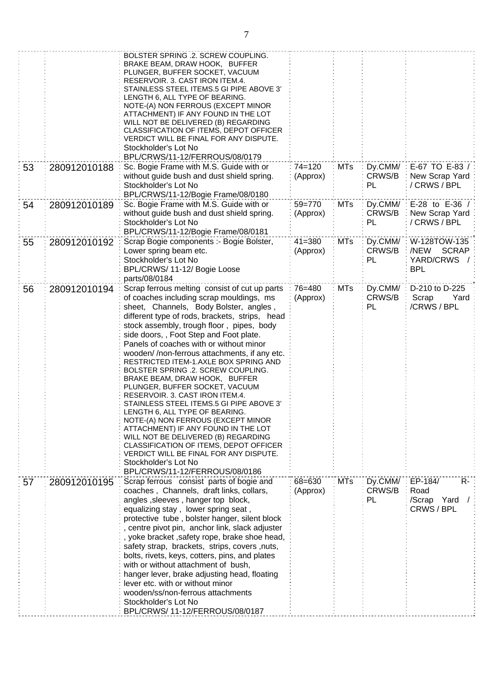|    |              | BOLSTER SPRING .2. SCREW COUPLING.<br>BRAKE BEAM, DRAW HOOK, BUFFER<br>PLUNGER, BUFFER SOCKET, VACUUM<br>RESERVOIR. 3. CAST IRON ITEM.4.<br>STAINLESS STEEL ITEMS.5 GI PIPE ABOVE 3'<br>LENGTH 6, ALL TYPE OF BEARING.<br>NOTE-(A) NON FERROUS (EXCEPT MINOR<br>ATTACHMENT) IF ANY FOUND IN THE LOT<br>WILL NOT BE DELIVERED (B) REGARDING<br>CLASSIFICATION OF ITEMS, DEPOT OFFICER<br>VERDICT WILL BE FINAL FOR ANY DISPUTE.<br>Stockholder's Lot No<br>BPL/CRWS/11-12/FERROUS/08/0179                                                                                                                                                                                                                                                                                                                                                                                                                      |                        |            |                         |                                                                               |
|----|--------------|---------------------------------------------------------------------------------------------------------------------------------------------------------------------------------------------------------------------------------------------------------------------------------------------------------------------------------------------------------------------------------------------------------------------------------------------------------------------------------------------------------------------------------------------------------------------------------------------------------------------------------------------------------------------------------------------------------------------------------------------------------------------------------------------------------------------------------------------------------------------------------------------------------------|------------------------|------------|-------------------------|-------------------------------------------------------------------------------|
| 53 | 280912010188 | Sc. Bogie Frame with M.S. Guide with or<br>without guide bush and dust shield spring.<br>Stockholder's Lot No<br>BPL/CRWS/11-12/Bogie Frame/08/0180                                                                                                                                                                                                                                                                                                                                                                                                                                                                                                                                                                                                                                                                                                                                                           | $74 = 120$<br>(Approx) | <b>MTs</b> | Dy.CMM/<br>CRWS/B<br>PL | E-67 TO E-83 /<br>New Scrap Yard<br>/ CRWS / BPL                              |
| 54 | 280912010189 | Sc. Bogie Frame with M.S. Guide with or<br>without guide bush and dust shield spring.<br>Stockholder's Lot No<br>BPL/CRWS/11-12/Bogie Frame/08/0181                                                                                                                                                                                                                                                                                                                                                                                                                                                                                                                                                                                                                                                                                                                                                           | 59=770<br>(Approx)     | <b>MTs</b> | Dy.CMM/<br>CRWS/B<br>PL | E-28 to E-36 /<br>New Scrap Yard<br>/ CRWS / BPL                              |
| 55 | 280912010192 | Scrap Bogie components :- Bogie Bolster,<br>Lower spring beam etc.<br>Stockholder's Lot No<br>BPL/CRWS/ 11-12/ Bogie Loose<br>parts/08/0184                                                                                                                                                                                                                                                                                                                                                                                                                                                                                                                                                                                                                                                                                                                                                                   | $41 = 380$<br>(Approx) | <b>MTs</b> | Dy.CMM/<br>CRWS/B<br>PL | W-128TOW-135<br>/NEW<br><b>SCRAP</b><br>YARD/CRWS<br>$\sqrt{ }$<br><b>BPL</b> |
| 56 | 280912010194 | Scrap ferrous melting consist of cut up parts<br>of coaches including scrap mouldings, ms<br>sheet, Channels, Body Bolster, angles,<br>different type of rods, brackets, strips, head<br>stock assembly, trough floor, pipes, body<br>side doors, , Foot Step and Foot plate.<br>Panels of coaches with or without minor<br>wooden//non-ferrous attachments, if any etc.<br>RESTRICTED ITEM-1.AXLE BOX SPRING AND<br>BOLSTER SPRING .2. SCREW COUPLING.<br>BRAKE BEAM, DRAW HOOK, BUFFER<br>PLUNGER, BUFFER SOCKET, VACUUM<br>RESERVOIR. 3. CAST IRON ITEM.4.<br>STAINLESS STEEL ITEMS.5 GI PIPE ABOVE 3'<br>LENGTH 6, ALL TYPE OF BEARING.<br>NOTE-(A) NON FERROUS (EXCEPT MINOR<br>ATTACHMENT) IF ANY FOUND IN THE LOT<br>WILL NOT BE DELIVERED (B) REGARDING<br>CLASSIFICATION OF ITEMS, DEPOT OFFICER<br>VERDICT WILL BE FINAL FOR ANY DISPUTE.<br>Stockholder's Lot No<br>BPL/CRWS/11-12/FERROUS/08/0186 | 76=480<br>(Approx)     | <b>MTs</b> | Dy.CMM/<br>CRWS/B<br>PL | D-210 to D-225<br>Scrap<br>Yard<br>/CRWS / BPL                                |
| 57 | 280912010195 | Scrap ferrous consist parts of bogie and<br>coaches, Channels, draft links, collars,<br>angles, sleeves, hanger top block,<br>equalizing stay, lower spring seat,<br>protective tube, bolster hanger, silent block<br>centre pivot pin, anchor link, slack adjuster<br>yoke bracket, safety rope, brake shoe head,<br>safety strap, brackets, strips, covers, nuts,<br>bolts, rivets, keys, cotters, pins, and plates<br>with or without attachment of bush,<br>hanger lever, brake adjusting head, floating<br>lever etc. with or without minor<br>wooden/ss/non-ferrous attachments<br>Stockholder's Lot No<br>BPL/CRWS/11-12/FERROUS/08/0187                                                                                                                                                                                                                                                               | 68=630<br>(Approx)     | <b>MTs</b> | Dy.CMM/<br>CRWS/B<br>PL | EP-184/<br>$R -$<br>Road<br>/Scrap Yard<br>CRWS / BPL                         |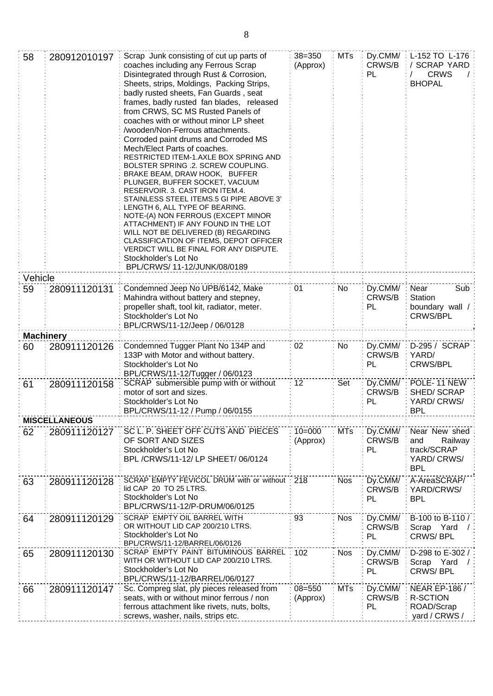| 58      | 280912010197         | Scrap Junk consisting of cut up parts of<br>coaches including any Ferrous Scrap<br>Disintegrated through Rust & Corrosion,<br>Sheets, strips, Moldings, Packing Strips,<br>badly rusted sheets, Fan Guards, seat<br>frames, badly rusted fan blades, released<br>from CRWS, SC MS Rusted Panels of<br>coaches with or without minor LP sheet<br>/wooden/Non-Ferrous attachments.<br>Corroded paint drums and Corroded MS<br>Mech/Elect Parts of coaches.<br>RESTRICTED ITEM-1.AXLE BOX SPRING AND<br>BOLSTER SPRING .2. SCREW COUPLING.<br>BRAKE BEAM, DRAW HOOK, BUFFER<br>PLUNGER, BUFFER SOCKET, VACUUM<br>RESERVOIR. 3. CAST IRON ITEM.4.<br>STAINLESS STEEL ITEMS.5 GI PIPE ABOVE 3'<br>LENGTH 6, ALL TYPE OF BEARING.<br>NOTE-(A) NON FERROUS (EXCEPT MINOR<br>ATTACHMENT) IF ANY FOUND IN THE LOT<br>WILL NOT BE DELIVERED (B) REGARDING<br>CLASSIFICATION OF ITEMS, DEPOT OFFICER<br>VERDICT WILL BE FINAL FOR ANY DISPUTE.<br>Stockholder's Lot No<br>BPL/CRWS/ 11-12/JUNK/08/0189 | $38 = 350$<br>(Approx) | <b>MTs</b> | CRWS/B<br>PL            | Dy.CMM/: L-152 TO L-176<br>SCRAP YARD<br><b>CRWS</b><br><b>BHOPAL</b>      |
|---------|----------------------|---------------------------------------------------------------------------------------------------------------------------------------------------------------------------------------------------------------------------------------------------------------------------------------------------------------------------------------------------------------------------------------------------------------------------------------------------------------------------------------------------------------------------------------------------------------------------------------------------------------------------------------------------------------------------------------------------------------------------------------------------------------------------------------------------------------------------------------------------------------------------------------------------------------------------------------------------------------------------------------------|------------------------|------------|-------------------------|----------------------------------------------------------------------------|
| Vehicle |                      |                                                                                                                                                                                                                                                                                                                                                                                                                                                                                                                                                                                                                                                                                                                                                                                                                                                                                                                                                                                             |                        |            |                         |                                                                            |
| 59      | 280911120131         | Condemned Jeep No UPB/6142, Make<br>Mahindra without battery and stepney,<br>propeller shaft, tool kit, radiator, meter.<br>Stockholder's Lot No<br>BPL/CRWS/11-12/Jeep / 06/0128                                                                                                                                                                                                                                                                                                                                                                                                                                                                                                                                                                                                                                                                                                                                                                                                           | 01                     | No         | Dy.CMM/<br>CRWS/B<br>PL | Near<br>Sub<br>Station<br>boundary wall /<br><b>CRWS/BPL</b>               |
|         | <b>Machinery</b>     |                                                                                                                                                                                                                                                                                                                                                                                                                                                                                                                                                                                                                                                                                                                                                                                                                                                                                                                                                                                             |                        |            |                         |                                                                            |
| 60      | 280911120126         | Condemned Tugger Plant No 134P and<br>133P with Motor and without battery.<br>Stockholder's Lot No<br>BPL/CRWS/11-12/Tugger / 06/0123                                                                                                                                                                                                                                                                                                                                                                                                                                                                                                                                                                                                                                                                                                                                                                                                                                                       | 02                     | No         | Dy.CMM/<br>CRWS/B<br>PL | D-295 / SCRAP<br>YARD/<br><b>CRWS/BPL</b>                                  |
| 61      | 280911120158         | SCRAP submersible pump with or without<br>motor of sort and sizes.<br>Stockholder's Lot No<br>BPL/CRWS/11-12 / Pump / 06/0155                                                                                                                                                                                                                                                                                                                                                                                                                                                                                                                                                                                                                                                                                                                                                                                                                                                               | 12                     | Set        | Dy.CMM/<br>CRWS/B<br>PL | POLE-11 NEW<br>SHED/SCRAP<br>YARD/CRWS/<br><b>BPL</b>                      |
|         | <b>MISCELLANEOUS</b> |                                                                                                                                                                                                                                                                                                                                                                                                                                                                                                                                                                                                                                                                                                                                                                                                                                                                                                                                                                                             |                        |            |                         |                                                                            |
| 62      | 280911120127         | SC L. P. SHEET OFF CUTS AND PIECES<br>OF SORT AND SIZES<br>Stockholder's Lot No<br>BPL /CRWS/11-12/ LP SHEET/ 06/0124                                                                                                                                                                                                                                                                                                                                                                                                                                                                                                                                                                                                                                                                                                                                                                                                                                                                       | $10 = 000$<br>(Approx) | <b>MTs</b> | Dy.CMM/<br>CRWS/B<br>PL | Near New shed<br>and<br>Railway<br>track/SCRAP<br>YARD/CRWS/<br><b>BPL</b> |
| 63      | 280911120128         | SCRAP EMPTY FEVICOL DRUM with or without<br>lid CAP 20 TO 25 LTRS.<br>Stockholder's Lot No<br>BPL/CRWS/11-12/P-DRUM/06/0125                                                                                                                                                                                                                                                                                                                                                                                                                                                                                                                                                                                                                                                                                                                                                                                                                                                                 | 218                    | <b>Nos</b> | Dy.CMM/<br>CRWS/B<br>PL | A-AreaSCRAP/<br>YARD/CRWS/<br><b>BPL</b>                                   |
| 64      | 280911120129         | SCRAP EMPTY OIL BARREL WITH<br>OR WITHOUT LID CAP 200/210 LTRS.<br>Stockholder's Lot No<br>BPL/CRWS/11-12/BARREL/06/0126                                                                                                                                                                                                                                                                                                                                                                                                                                                                                                                                                                                                                                                                                                                                                                                                                                                                    | 93                     | <b>Nos</b> | Dy.CMM/<br>CRWS/B<br>PL | B-100 to B-110 /:<br>Scrap Yard<br>CRWS/BPL                                |
| 65      | 280911120130         | SCRAP EMPTY PAINT BITUMINOUS BARREL<br>WITH OR WITHOUT LID CAP 200/210 LTRS.<br>Stockholder's Lot No<br>BPL/CRWS/11-12/BARREL/06/0127                                                                                                                                                                                                                                                                                                                                                                                                                                                                                                                                                                                                                                                                                                                                                                                                                                                       | 102                    | <b>Nos</b> | Dy.CMM/<br>CRWS/B<br>PL | D-298 to E-302 /<br>Scrap Yard<br>CRWS/BPL                                 |
| 66      | 280911120147         | Sc. Compreg slat, ply pieces released from<br>seats, with or without minor ferrous / non<br>ferrous attachment like rivets, nuts, bolts,<br>screws, washer, nails, strips etc.                                                                                                                                                                                                                                                                                                                                                                                                                                                                                                                                                                                                                                                                                                                                                                                                              | $08 = 550$<br>(Approx) | <b>MTs</b> | Dy.CMM/<br>CRWS/B<br>PL | <b>NEAR EP-186 /</b><br><b>R-SCTION</b><br>ROAD/Scrap<br>yard / CRWS /     |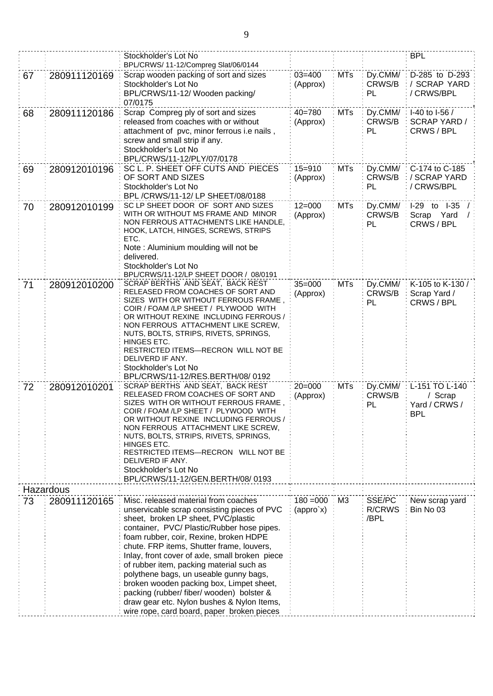|    |              | Stockholder's Lot No<br>BPL/CRWS/11-12/Compreg Slat/06/0144                                                                                                                                                                                                                                                                                                                                                                                                                                                                                                                                  |                                            |            |                                 | <b>BPL</b>                                               |
|----|--------------|----------------------------------------------------------------------------------------------------------------------------------------------------------------------------------------------------------------------------------------------------------------------------------------------------------------------------------------------------------------------------------------------------------------------------------------------------------------------------------------------------------------------------------------------------------------------------------------------|--------------------------------------------|------------|---------------------------------|----------------------------------------------------------|
| 67 | 280911120169 | Scrap wooden packing of sort and sizes<br>Stockholder's Lot No<br>BPL/CRWS/11-12/ Wooden packing/<br>07/0175                                                                                                                                                                                                                                                                                                                                                                                                                                                                                 | $03 = 400$<br>(Approx)                     | <b>MTs</b> | Dy.CMM/<br>CRWS/B<br>PL         | D-285 to D-293<br>/ SCRAP YARD<br>/ CRWS/BPL             |
| 68 | 280911120186 | Scrap Compreg ply of sort and sizes<br>released from coaches with or without<br>attachment of pvc, minor ferrous i.e nails,<br>screw and small strip if any.<br>Stockholder's Lot No<br>BPL/CRWS/11-12/PLY/07/0178                                                                                                                                                                                                                                                                                                                                                                           | $40 = 780$<br>(Approx)                     | <b>MTs</b> | Dy.CMM/<br>CRWS/B<br>PL         | I-40 to I-56 /<br><b>SCRAP YARD /</b><br>CRWS / BPL      |
| 69 | 280912010196 | SC L. P. SHEET OFF CUTS AND PIECES<br>OF SORT AND SIZES<br>Stockholder's Lot No<br>BPL /CRWS/11-12/ LP SHEET/08/0188                                                                                                                                                                                                                                                                                                                                                                                                                                                                         | $15 = 910$<br>(Approx)                     | <b>MTs</b> | Dy.CMM/<br>CRWS/B<br>PL         | C-174 to C-185<br>/ SCRAP YARD<br>/ CRWS/BPL             |
| 70 | 280912010199 | SC LP SHEET DOOR OF SORT AND SIZES<br>WITH OR WITHOUT MS FRAME AND MINOR<br>NON FERROUS ATTACHMENTS LIKE HANDLE,<br>HOOK, LATCH, HINGES, SCREWS, STRIPS<br>ETC.<br>Note: Aluminium moulding will not be<br>delivered.<br>Stockholder's Lot No<br>BPL/CRWS/11-12/LP SHEET DOOR / 08/0191                                                                                                                                                                                                                                                                                                      | $12 = 000$<br>(Approx)                     | <b>MTs</b> | Dy.CMM/<br>CRWS/B<br>PL         | I-29 to I-35<br>Scrap Yard<br>CRWS / BPL                 |
| 71 | 280912010200 | SCRAP BERTHS AND SEAT, BACK REST<br>RELEASED FROM COACHES OF SORT AND<br>SIZES WITH OR WITHOUT FERROUS FRAME,<br>COIR / FOAM /LP SHEET / PLYWOOD WITH<br>OR WITHOUT REXINE INCLUDING FERROUS /<br>NON FERROUS ATTACHMENT LIKE SCREW,<br>NUTS, BOLTS, STRIPS, RIVETS, SPRINGS,<br>HINGES ETC.<br>RESTRICTED ITEMS-RECRON WILL NOT BE<br>DELIVERD IF ANY.<br>Stockholder's Lot No<br>BPL/CRWS/11-12/RES.BERTH/08/0192                                                                                                                                                                          | $35 = 000$<br>(Approx)                     | <b>MTs</b> | Dy.CMM/<br>CRWS/B<br>PL         | K-105 to K-130 /<br>Scrap Yard /<br>CRWS / BPL           |
| 72 | 280912010201 | SCRAP BERTHS AND SEAT, BACK REST<br>RELEASED FROM COACHES OF SORT AND<br>SIZES WITH OR WITHOUT FERROUS FRAME,<br>COIR / FOAM /LP SHEET / PLYWOOD WITH<br>OR WITHOUT REXINE INCLUDING FERROUS /<br>NON FERROUS ATTACHMENT LIKE SCREW,<br>NUTS, BOLTS, STRIPS, RIVETS, SPRINGS,<br><b>HINGES ETC.</b><br>RESTRICTED ITEMS-RECRON WILL NOT BE<br>DELIVERD IF ANY.<br>Stockholder's Lot No<br>BPL/CRWS/11-12/GEN.BERTH/08/0193                                                                                                                                                                   | $20 = 000$<br>(Approx)                     | <b>MTs</b> | Dy.CMM/<br>CRWS/B<br>PL         | L-151 TO L-140<br>/ Scrap<br>Yard / CRWS /<br><b>BPL</b> |
|    | Hazardous    |                                                                                                                                                                                                                                                                                                                                                                                                                                                                                                                                                                                              |                                            |            |                                 |                                                          |
| 73 | 280911120165 | Misc. released material from coaches<br>unservicable scrap consisting pieces of PVC<br>sheet, broken LP sheet, PVC/plastic<br>container, PVC/ Plastic/Rubber hose pipes.<br>foam rubber, coir, Rexine, broken HDPE<br>chute. FRP items, Shutter frame, louvers,<br>Inlay, front cover of axle, small broken piece<br>of rubber item, packing material such as<br>polythene bags, un useable gunny bags,<br>broken wooden packing box, Limpet sheet,<br>packing (rubber/ fiber/ wooden) bolster &<br>draw gear etc. Nylon bushes & Nylon Items,<br>wire rope, card board, paper broken pieces | $180 = 000$<br>$\langle$ appro`x $\rangle$ | M3         | SSE/PC<br><b>R/CRWS</b><br>/BPL | New scrap yard<br>Bin No 03                              |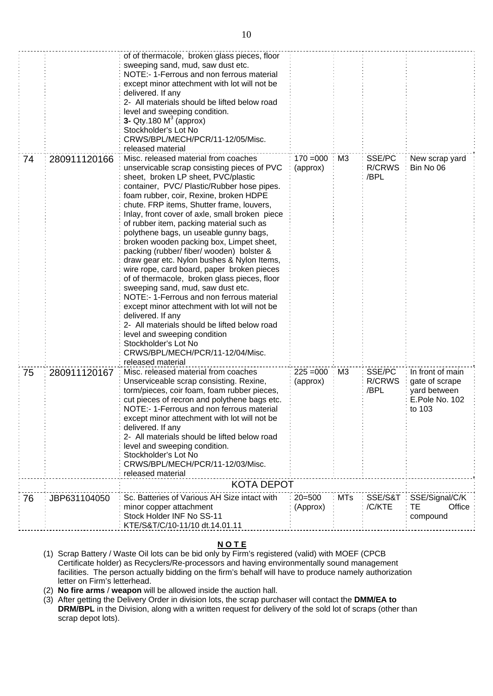|    |              | of of thermacole, broken glass pieces, floor                                               |             |                 |                       |                  |
|----|--------------|--------------------------------------------------------------------------------------------|-------------|-----------------|-----------------------|------------------|
|    |              | sweeping sand, mud, saw dust etc.                                                          |             |                 |                       |                  |
|    |              | NOTE:- 1-Ferrous and non ferrous material<br>except minor attechment with lot will not be  |             |                 |                       |                  |
|    |              | delivered. If any                                                                          |             |                 |                       |                  |
|    |              | 2- All materials should be lifted below road                                               |             |                 |                       |                  |
|    |              | level and sweeping condition.                                                              |             |                 |                       |                  |
|    |              | 3- Qty.180 $M3$ (approx)<br>Stockholder's Lot No                                           |             |                 |                       |                  |
|    |              | CRWS/BPL/MECH/PCR/11-12/05/Misc.                                                           |             |                 |                       |                  |
|    |              | released material                                                                          |             |                 |                       |                  |
| 74 | 280911120166 | Misc. released material from coaches                                                       | $170 = 000$ | $\therefore$ M3 | SSE/PC                | New scrap yard   |
|    |              | unservicable scrap consisting pieces of PVC<br>sheet, broken LP sheet, PVC/plastic         | (approx)    |                 | <b>R/CRWS</b><br>/BPL | Bin No 06        |
|    |              | container, PVC/ Plastic/Rubber hose pipes.                                                 |             |                 |                       |                  |
|    |              | foam rubber, coir, Rexine, broken HDPE                                                     |             |                 |                       |                  |
|    |              | chute. FRP items, Shutter frame, louvers,                                                  |             |                 |                       |                  |
|    |              | Inlay, front cover of axle, small broken piece<br>of rubber item, packing material such as |             |                 |                       |                  |
|    |              | polythene bags, un useable gunny bags,                                                     |             |                 |                       |                  |
|    |              | broken wooden packing box, Limpet sheet,                                                   |             |                 |                       |                  |
|    |              | packing (rubber/ fiber/ wooden) bolster &                                                  |             |                 |                       |                  |
|    |              | draw gear etc. Nylon bushes & Nylon Items,                                                 |             |                 |                       |                  |
|    |              | wire rope, card board, paper broken pieces<br>of of thermacole, broken glass pieces, floor |             |                 |                       |                  |
|    |              | sweeping sand, mud, saw dust etc.                                                          |             |                 |                       |                  |
|    |              | NOTE:- 1-Ferrous and non ferrous material                                                  |             |                 |                       |                  |
|    |              | except minor attechment with lot will not be                                               |             |                 |                       |                  |
|    |              | delivered. If any<br>2- All materials should be lifted below road                          |             |                 |                       |                  |
|    |              | level and sweeping condition                                                               |             |                 |                       |                  |
|    |              | Stockholder's Lot No                                                                       |             |                 |                       |                  |
|    |              | CRWS/BPL/MECH/PCR/11-12/04/Misc.                                                           |             |                 |                       |                  |
| 75 | 280911120167 | released material<br>Misc. released material from coaches                                  | $225 = 000$ | M3              | SSE/PC                | In front of main |
|    |              | Unserviceable scrap consisting. Rexine,                                                    | (approx)    |                 | <b>R/CRWS</b>         | gate of scrape   |
|    |              | torm/pieces, coir foam, foam rubber pieces,                                                |             |                 | /BPL                  | yard between     |
|    |              | cut pieces of recron and polythene bags etc.                                               |             |                 |                       | E.Pole No. 102   |
|    |              | NOTE:- 1-Ferrous and non ferrous material<br>except minor attechment with lot will not be  |             |                 |                       | to 103           |
|    |              | delivered. If any                                                                          |             |                 |                       |                  |
|    |              | 2- All materials should be lifted below road                                               |             |                 |                       |                  |
|    |              | level and sweeping condition.                                                              |             |                 |                       |                  |
|    |              | Stockholder's Lot No<br>CRWS/BPL/MECH/PCR/11-12/03/Misc.                                   |             |                 |                       |                  |
|    |              | released material                                                                          |             |                 |                       |                  |
|    |              | <b>KOTA DEPOT</b>                                                                          |             |                 |                       |                  |
| 76 | JBP631104050 | Sc. Batteries of Various AH Size intact with                                               | $20 = 500$  | <b>MTs</b>      | SSE/S&T               | SSE/Signal/C/K   |
|    |              | minor copper attachment                                                                    | (Approx)    |                 | /C/KTE                | TE<br>Office     |
|    |              | Stock Holder INF No SS-11<br>KTE/S&T/C/10-11/10 dt.14.01.11                                |             |                 |                       | compound         |
|    |              |                                                                                            |             |                 |                       |                  |

## **N O T E**

- (1) Scrap Battery / Waste Oil lots can be bid only by Firm's registered (valid) with MOEF (CPCB Certificate holder) as Recyclers/Re-processors and having environmentally sound management facilities. The person actually bidding on the firm's behalf will have to produce namely authorization letter on Firm's letterhead.
- (2) **No fire arms** / **weapon** will be allowed inside the auction hall.
- (3) After getting the Delivery Order in division lots, the scrap purchaser will contact the **DMM/EA to DRM/BPL** in the Division, along with a written request for delivery of the sold lot of scraps (other than scrap depot lots).